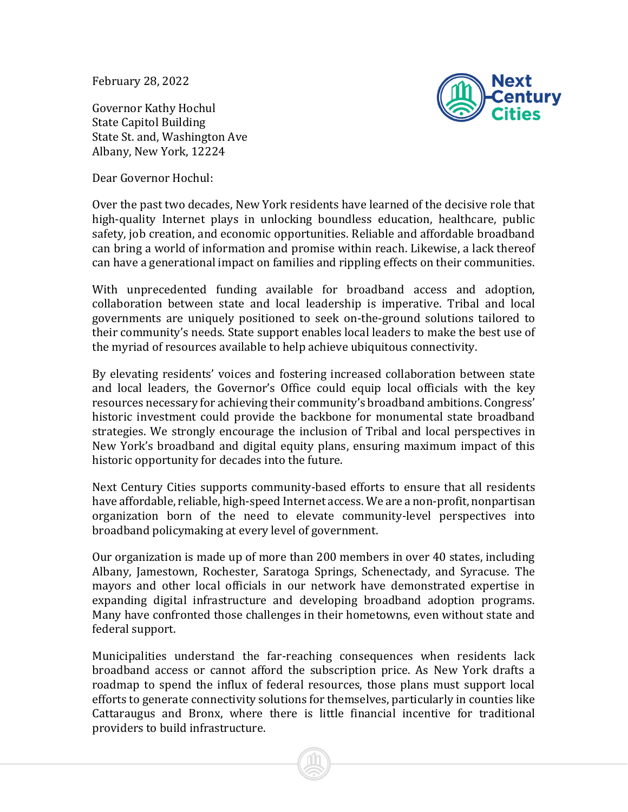February 28, 2022

Governor Kathy Hochul State Capitol Building State St. and, Washington Ave Albany, New York, 12224

Dear Governor Hochul:



Over the past two decades, New York residents have learned of the decisive role that high-quality Internet plays in unlocking boundless education, healthcare, public safety, job creation, and economic opportunities. Reliable and affordable broadband can bring a world of information and promise within reach. Likewise, a lack thereof can have a generational impact on families and rippling effects on their communities.

With unprecedented funding available for broadband access and adoption, collaboration between state and local leadership is imperative. Tribal and local governments are uniquely positioned to seek on-the-ground solutions tailored to their community's needs. State support enables local leaders to make the best use of the myriad of resources available to help achieve ubiquitous connectivity.

By elevating residents' voices and fostering increased collaboration between state and local leaders, the Governor's Office could equip local officials with the key resources necessary for achieving their community's broadband ambitions. Congress' historic investment could provide the backbone for monumental state broadband strategies. We strongly encourage the inclusion of Tribal and local perspectives in New York's broadband and digital equity plans, ensuring maximum impact of this historic opportunity for decades into the future.

Next Century Cities supports community-based efforts to ensure that all residents have affordable, reliable, high-speed Internet access. We are a non-profit, nonpartisan organization born of the need to elevate community-level perspectives into broadband policymaking at every level of government.

Our organization is made up of more than 200 members in over 40 states, including Albany, Jamestown, Rochester, Saratoga Springs, Schenectady, and Syracuse. The mayors and other local officials in our network have demonstrated expertise in expanding digital infrastructure and developing broadband adoption programs. Many have confronted those challenges in their hometowns, even without state and federal support.

Municipalities understand the far-reaching consequences when residents lack broadband access or cannot afford the subscription price. As New York drafts a roadmap to spend the influx of federal resources, those plans must support local efforts to generate connectivity solutions for themselves, particularly in counties like Cattaraugus and Bronx, where there is little financial incentive for traditional providers to build infrastructure.